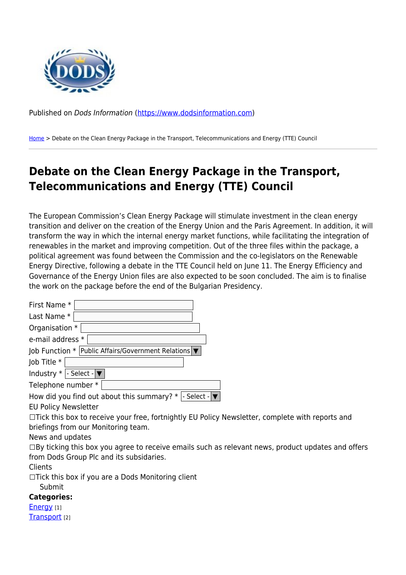

Published on Dods Information ([https://www.dodsinformation.com\)](https://www.dodsinformation.com)

[Home](https://www.dodsinformation.com/) > Debate on the Clean Energy Package in the Transport, Telecommunications and Energy (TTE) Council

## **Debate on the Clean Energy Package in the Transport, Telecommunications and Energy (TTE) Council**

The European Commission's Clean Energy Package will stimulate investment in the clean energy transition and deliver on the creation of the Energy Union and the Paris Agreement. In addition, it will transform the way in which the internal energy market functions, while facilitating the integration of renewables in the market and improving competition. Out of the three files within the package, a political agreement was found between the Commission and the co-legislators on the Renewable Energy Directive, following a debate in the TTE Council held on June 11. The Energy Efficiency and Governance of the Energy Union files are also expected to be soon concluded. The aim is to finalise the work on the package before the end of the Bulgarian Presidency.

| First Name *                                                                                             |
|----------------------------------------------------------------------------------------------------------|
| Last Name *                                                                                              |
| Organisation *                                                                                           |
| e-mail address *                                                                                         |
| Job Function $*$   Public Affairs/Government Relations $\blacktriangledown$                              |
| Job Title *                                                                                              |
| Industry $*$  - Select - $\blacktriangledown$                                                            |
| Telephone number *                                                                                       |
| How did you find out about this summary? $*$  - Select - $\blacktriangledown$                            |
| <b>EU Policy Newsletter</b>                                                                              |
| $\Box$ Tick this box to receive your free, fortnightly EU Policy Newsletter, complete with reports and   |
| briefings from our Monitoring team.                                                                      |
| News and updates                                                                                         |
| $\Box$ By ticking this box you agree to receive emails such as relevant news, product updates and offers |
| from Dods Group Plc and its subsidaries.                                                                 |
| Clients                                                                                                  |
| $\Box$ Tick this box if you are a Dods Monitoring client                                                 |
| Submit                                                                                                   |
| <b>Categories:</b>                                                                                       |
| <b>Energy</b> [1]                                                                                        |
| Transport [2]                                                                                            |
|                                                                                                          |